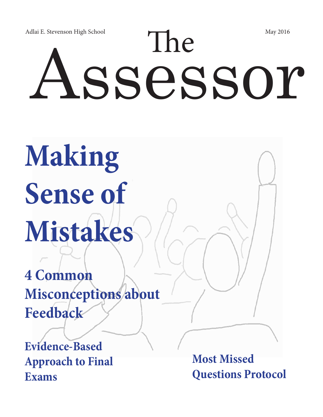# Adlai E. Stevenson High School May 2016<br>
ASSeSSOI

# **Making Sense of Mistakes**

**4 Common Misconceptions about Feedback**

**Evidence-Based Approach to Final Exams**

**Most Missed Questions Protocol**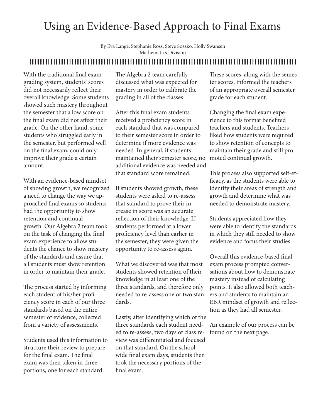#### Using an Evidence-Based Approach to Final Exams

By Eva Lange, Stephanie Ross, Steve Soszko, Holly Swansen Mathematics Division

#### 

With the traditional final exam grading system, students' scores did not necessarily reflect their overall knowledge. Some students showed such mastery throughout the semester that a low score on the final exam did not affect their grade. On the other hand, some students who struggled early in the semester, but performed well on the final exam, could only improve their grade a certain amount.

With an evidence-based mindset of showing growth, we recognized a need to change the way we approached final exams so students had the opportunity to show retention and continual growth. Our Algebra 2 team took on the task of changing the final exam experience to allow students the chance to show mastery of the standards and assure that all students must show retention in order to maintain their grade.

The process started by informing each student of his/her proficiency score in each of our three standards based on the entire semester of evidence, collected from a variety of assessments.

Students used this information to structure their review to prepare for the final exam. The final exam was then taken in three portions, one for each standard.

The Algebra 2 team carefully discussed what was expected for mastery in order to calibrate the grading in all of the classes.

After this final exam students received a proficiency score in each standard that was compared to their semester score in order to determine if more evidence was needed. In general, if students maintained their semester score, no additional evidence was needed and that standard score remained.

If students showed growth, these students were asked to re-assess that standard to prove their increase in score was an accurate reflection of their knowledge. If students performed at a lower proficiency level than earlier in the semester, they were given the opportunity to re-assess again.

What we discovered was that most students showed retention of their knowledge in at least one of the three standards, and therefore only needed to re-assess one or two standards.

Lastly, after identifying which of the three standards each student needed to re-assess, two days of class review was differentiated and focused on that standard. On the schoolwide final exam days, students then took the necessary portions of the final exam.

These scores, along with the semester scores, informed the teachers of an appropriate overall semester grade for each student.

Changing the final exam experience to this format benefited teachers and students. Teachers liked how students were required to show retention of concepts to maintain their grade and still promoted continual growth.

This process also supported self-efficacy, as the students were able to identify their areas of strength and growth and determine what was needed to demonstrate mastery.

Students appreciated how they were able to identify the standards in which they still needed to show evidence and focus their studies.

Overall this evidence-based final exam process prompted conversations about how to demonstrate mastery instead of calculating points. It also allowed both teachers and students to maintain an EBR mindset of growth and reflection as they had all semester.

An example of our process can be found on the next page.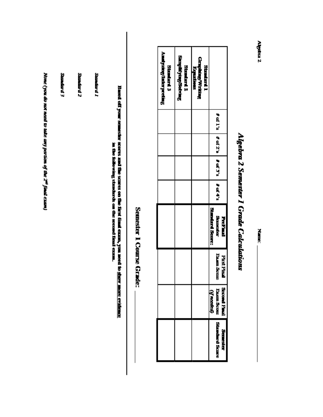| September 12 | <b>Sambad I</b> |                                                                                                                                     |                   | Analyzing/Interpreting<br><b>Shakard 3</b> | Simplifying/Solving<br>Standard <sub>2</sub> | <b>Graphing Writing</b><br><b>Standard 1</b><br>Equations. |                                                    |
|--------------|-----------------|-------------------------------------------------------------------------------------------------------------------------------------|-------------------|--------------------------------------------|----------------------------------------------|------------------------------------------------------------|----------------------------------------------------|
|              |                 |                                                                                                                                     |                   |                                            |                                              |                                                            | 2.14                                               |
|              |                 |                                                                                                                                     |                   |                                            |                                              |                                                            | $\pm$ of $2^{\circ}$                               |
|              |                 |                                                                                                                                     |                   |                                            |                                              |                                                            | 16.7's                                             |
|              |                 |                                                                                                                                     |                   |                                            |                                              |                                                            | 2.473                                              |
|              |                 | Bact off your scenario scores and the scenario conflux (inut count, you acct<br>in the fishwing standards on the second final exam. | Semester I Course |                                            |                                              |                                                            | <b>Standard Score:</b><br>Sameder<br><b>FERENT</b> |
|              |                 |                                                                                                                                     | Grade:            |                                            |                                              |                                                            | <b>Fram Scone</b><br><b>First1</b><br>Ē            |
|              |                 | in <u>show were existence</u>                                                                                                       |                   |                                            |                                              |                                                            | Second Final<br><b>Fixam Scott</b><br>(if needed)  |
|              |                 |                                                                                                                                     |                   |                                            |                                              |                                                            | <b>Standard Scare</b><br><b>Seminate</b>           |

None (you do not need to take any portion of the 2<sup>m</sup> final cram)

E parrars

# Algebra 2 Semester I Grade Calculations

 $M_{\rm max}$ 

Algebra 2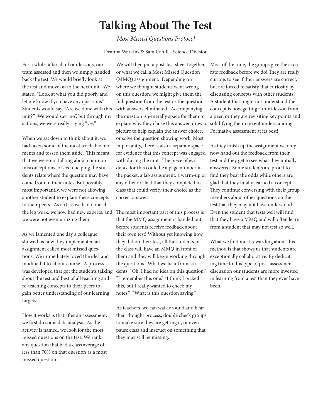#### **Talking About The Test**

#### *Most Missed Questions Protocol*

#### Deanna Warkins & Sara Cahill - Science Division

For a while, after all of our lessons, our team assessed and then we simply handed back the test. We would briefly look at the test and move on to the next unit. We stated, "Look at what you did poorly and let me know if you have any questions." Students would say, "Are we done with this unit?" We would say "no", but through my actions, we were really saying "yes."

When we sat down to think about it, we had taken some of the most teachable moments and tossed them aside. This meant that we were not talking about common misconceptions, or even helping the students relate where the question may have come from in their notes. But possibly most importantly, we were not allowing another student to explain these concepts to their peers. As a class we had done all the leg work, we now had new experts, and we were not even utilizing them!

As we lamented one day a colleague showed us how they implemented an assignment called most missed questions. We immediately loved the idea and modified it to fit our course. A process was developed that got the students talking about the test and best of all teaching and re-teaching concepts to their peers to gain better understanding of our learning targets!

How it works is that after an assessment, we first do some data analysis. As the activity is named, we look for the most missed questions on the test. We rank any question that had a class average of less than 70% on that question as a most missed question.

We will then put a post-test sheet together, or what we call a Most Missed Question (MMQ) assignment. Depending on where we thought students went wrong on this question, we might give them the full question from the test or the question with answers eliminated. Accompanying the question is generally space for them to explain why they chose this answer, draw a picture to help explain the answer choice, or solve the question showing work. Most importantly, there is also a separate space for evidence that this concept was engaged with during the unit. The piece of evidence for this could be a page number in the packet, a lab assignment, a warm-up or any other artifact that they completed in class that could verify their choice as the correct answer.

The most important part of this process is that the MMQ assignment is handed out before students receive feedback about their own test! Without yet knowing how they did on their test, all the students in the class will have an MMQ in front of them and they will begin working through the questions. What we hear from students: "Oh, I had no idea on this question." "I remember this one." "I think I picked this, but I really wanted to check my notes." "What is this question saying."

As teachers, we can walk around and hear their thought process, double check groups to make sure they are getting it, or even pause class and instruct on something that they may still be missing.

Most of the time, the groups give the accurate feedback before we do! They are really curious to see if their answers are correct, but are forced to satisfy that curiosity by discussing concepts with other students! A student that might not understand the concept is now getting a mini-lesson from a peer, or they are revisiting key points and solidifying their current understanding. Formative assessment at its best!

As they finish up the assignment we only now hand out the feedback from their test and they get to see what they initially answered. Some students are proud to find they beat the odds while others are glad that they finally learned a concept. They continue conversing with their group members about other questions on the test that they may not have understood. Even the student that tests well will find that they have a MMQ and will often learn from a student that may not test so well.

What we find most rewarding about this method is that shows us that students are exceptionally collaborative. By dedicating time to this type of post-assessment discussion our students are more invested in learning from a test than they ever have been.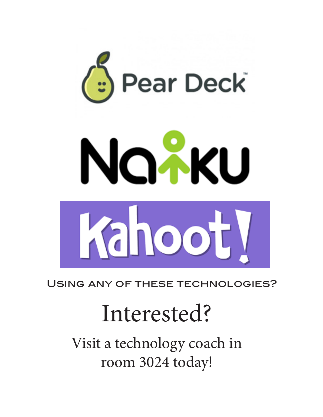

Using any of these technologies?

# Interested?

Visit a technology coach in room 3024 today!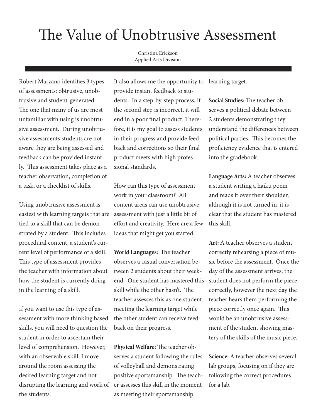#### The Value of Unobtrusive Assessment

Christina Erickson Applied Arts Division

Robert Marzano identifies 3 types of assessments: obtrusive, unobtrusive and student-generated. The one that many of us are most unfamiliar with using is unobtrusive assessment. During unobtrusive assessments students are not aware they are being assessed and feedback can be provided instantly. This assessment takes place as a teacher observation, completion of a task, or a checklist of skills.

easiest with learning targets that are assessment with just a little bit of Using unobtrusive assessment is tied to a skill that can be demonstrated by a student. This includes procedural content, a student's current level of performance of a skill. This type of assessment provides the teacher with information about how the student is currently doing in the learning of a skill.

If you want to use this type of assessment with more thinking based skills, you will need to question the student in order to ascertain their level of comprehension. However, with an observable skill, I move around the room assessing the desired learning target and not disrupting the learning and work of the students.

It also allows me the opportunity to learning target. provide instant feedback to students. In a step-by-step process, if the second step is incorrect, it will end in a poor final product. Therefore, it is my goal to assess students in their progress and provide feedback and corrections so their final product meets with high professional standards.

How can this type of assessment work in your classroom? All content areas can use unobtrusive effort and creativity. Here are a few ideas that might get you started:

**World Languages:** The teacher observes a casual conversation between 2 students about their weekend. One student has mastered this skill while the other hasn't. The teacher assesses this as one student meeting the learning target while the other student can receive feedback on their progress.

**Physical Welfare:** The teacher observes a student following the rules of volleyball and demonstrating positive sportsmanship. The teacher assesses this skill in the moment as meeting their sportsmanship

**Social Studies:** The teacher observes a political debate between 2 students demonstrating they understand the differences between political parties. This becomes the proficiency evidence that is entered into the gradebook.

**Language Arts:** A teacher observes a student writing a haiku poem and reads it over their shoulder, although it is not turned in, it is clear that the student has mastered this skill.

**Art:** A teacher observes a student correctly rehearsing a piece of music before the assessment. Once the day of the assessment arrives, the student does not perform the piece correctly, however the next day the teacher hears them performing the piece correctly once again. This would be an unobtrusive assessment of the student showing mastery of the skills of the music piece.

**Science:** A teacher observes several lab groups, focusing on if they are following the correct procedures for a lab.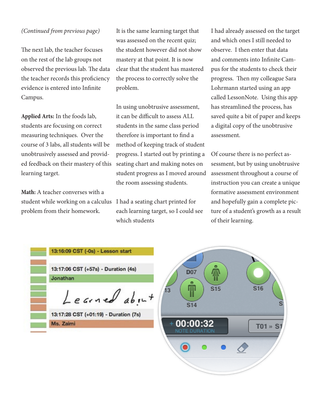#### *(Continued from previous page)*

The next lab, the teacher focuses on the rest of the lab groups not observed the previous lab. The data the teacher records this proficiency evidence is entered into Infinite Campus.

**Applied Arts:** In the foods lab, students are focusing on correct measuring techniques. Over the course of 3 labs, all students will be unobtrusively assessed and provided feedback on their mastery of this learning target.

**Math:** A teacher converses with a student while working on a calculus problem from their homework.

Ms. Zaimi

It is the same learning target that was assessed on the recent quiz; the student however did not show mastery at that point. It is now clear that the student has mastered the process to correctly solve the problem.

In using unobtrusive assessment, it can be difficult to assess ALL students in the same class period therefore is important to find a method of keeping track of student progress. I started out by printing a seating chart and making notes on student progress as I moved around the room assessing students.

I had a seating chart printed for each learning target, so I could see which students

I had already assessed on the target and which ones I still needed to observe. I then enter that data and comments into Infinite Campus for the students to check their progress. Then my colleague Sara Lohrmann started using an app called LessonNote. Using this app has streamlined the process, has saved quite a bit of paper and keeps a digital copy of the unobtrusive assessment.

Of course there is no perfect assessment, but by using unobtrusive assessment throughout a course of instruction you can create a unique formative assessment environment and hopefully gain a complete picture of a student's growth as a result of their learning.

| 13:16:09 CST (-0s) - Lesson start     |
|---------------------------------------|
| 13:17:06 CST (+57s) - Duration (4s)   |
| Jonathan                              |
| Learned about                         |
| 13:17:28 CST (+01:19) - Duration (7s) |

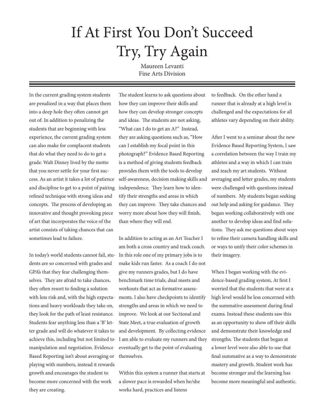#### If At First You Don't Succeed Try, Try Again

Maureen Levanti Fine Arts Division

In the current grading system students are penalized in a way that places them into a deep hole they often cannot get out of. In addition to penalizing the students that are beginning with less experience, the current grading system can also make for complacent students that do what they need to do to get a grade. Walt Disney lived by the motto that you never settle for your first success. As an artist it takes a lot of patience and discipline to get to a point of pairing refined technique with strong ideas and concepts. The process of developing an innovative and thought provoking piece of art that incorporates the voice of the artist consists of taking chances that can sometimes lead to failure.

In today's world students cannot fail, students are so concerned with grades and GPA's that they fear challenging themselves. They are afraid to take chances, they often resort to finding a solution with less risk and, with the high expectations and heavy workloads they take on, they look for the path of least resistance. Students fear anything less than a 'B' letter grade and will do whatever it takes to achieve this, including but not limited to manipulation and negotiation. Evidence Based Reporting isn't about averaging or playing with numbers, instead it rewards growth and encourages the student to become more concerned with the work they are creating.

The student learns to ask questions about how they can improve their skills and how they can develop stronger concepts and ideas. The students are not asking, "What can I do to get an A?" Instead, they are asking questions such as, "How can I establish my focal point in this photograph?" Evidence Based Reporting is a method of giving students feedback provides them with the tools to develop self-awareness, decision making skills and independence. They learn how to identify their strengths and areas in which they can improve. They take chances and worry more about how they will finish, than where they will end.

In addition to acting as an Art Teacher I am both a cross country and track coach. In this role one of my primary jobs is to make kids run faster. As a coach I do not give my runners grades, but I do have benchmark time trials, dual meets and workouts that act as formative assessments. I also have checkpoints to identify strengths and areas in which we need to improve. We look at our Sectional and State Meet, a true evaluation of growth and development. By collecting evidence I am able to evaluate my runners and they eventually get to the point of evaluating themselves.

Within this system a runner that starts at a slower pace is rewarded when he/she works hard, practices and listens

to feedback. On the other hand a runner that is already at a high level is challenged and the expectations for all athletes vary depending on their ability.

After I went to a seminar about the new Evidence Based Reporting System, I saw a correlation between the way I train my athletes and a way in which I can train and teach my art students. Without averaging and letter grades, my students were challenged with questions instead of numbers. My students began seeking out help and asking for guidance. They began working collaboratively with one another to develop ideas and find solutions. They ask me questions about ways to refine their camera handling skills and or ways to unify their color schemes in their imagery.

When I began working with the evidence-based grading system, At first I worried that the students that were at a high level would be less concerned with the summative assessment during final exams. Instead these students saw this as an opportunity to show off their skills and demonstrate their knowledge and strengths. The students that began at a lower level were also able to use that final summative as a way to demonstrate mastery and growth. Student work has become stronger and the learning has become more meaningful and authentic.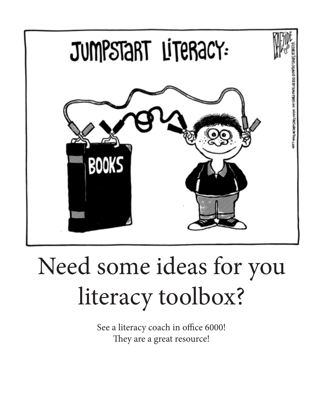

# Need some ideas for you literacy toolbox?

See a literacy coach in office 6000! They are a great resource!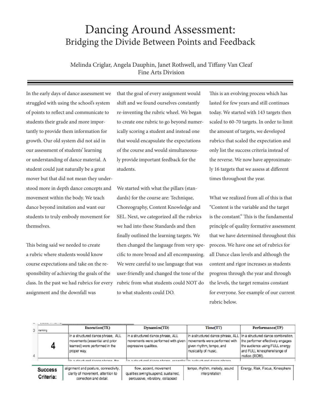#### Dancing Around Assessment: Bridging the Divide Between Points and Feedback

Melinda Criglar, Angela Dauphin, Janet Rothwell, and Tiffany Van Cleaf Fine Arts Division

In the early days of dance assessment we struggled with using the school's system of points to reflect and communicate to students their grade and more importantly to provide them information for growth. Our old system did not aid in our assessment of students' learning or understanding of dance material. A student could just naturally be a great mover but that did not mean they understood more in depth dance concepts and movement within the body. We teach dance beyond imitation and want our students to truly embody movement for themselves.

This being said we needed to create a rubric where students would know course expectations and take on the responsibility of achieving the goals of the class. In the past we had rubrics for every assignment and the downfall was

that the goal of every assignment would shift and we found ourselves constantly re-inventing the rubric wheel. We began to create one rubric to go beyond numerically scoring a student and instead one that would encapsulate the expectations of the course and would simultaneously provide important feedback for the students.

We started with what the pillars (standards) for the course are: Technique, Choreography, Content Knowledge and SEL. Next, we categorized all the rubrics we had into these Standards and then finally outlined the learning targets. We then changed the language from very specific to more broad and all encompassing. We were careful to use language that was user-friendly and changed the tone of the rubric from what students could NOT do to what students could DO.

This is an evolving process which has lasted for few years and still continues today. We started with 143 targets then scaled to 60-70 targets. In order to limit the amount of targets, we developed rubrics that scaled the expectation and only list the success criteria instead of the reverse. We now have approximately 16 targets that we assess at different times throughout the year.

What we realized from all of this is that "Content is the variable and the target is the constant." This is the fundamental principle of quality formative assessment that we have determined throughout this process. We have one set of rubrics for all Dance class levels and although the content and rigor increases as students progress through the year and through the levels, the target remains constant for everyone. See example of our current rubric below.

|   | 3 ranking                   | Execution(TE)                                                                                                        | Dynamics(TD)                                                                                                                      | Time(TT)                                         | Performance(TP)                                                                                                                                                                              |  |  |
|---|-----------------------------|----------------------------------------------------------------------------------------------------------------------|-----------------------------------------------------------------------------------------------------------------------------------|--------------------------------------------------|----------------------------------------------------------------------------------------------------------------------------------------------------------------------------------------------|--|--|
| 4 |                             | In a structured dance phrase, ALL<br>movements (essential and prior<br>learned) were performed in the<br>proper way. | In a structured dance phrase, ALL<br>movements were performed with given   movements were performed with<br>expressive qualities. | given rhythm, tempo, and<br>musicality of music. | In a structured dance phrase, ALL In a structured dance combination,<br>the performer effectively engages<br>the audience using FULL energy<br>and FULL kinesphere/range of<br>motion (ROM). |  |  |
|   |                             | in a church and dance chrone. But                                                                                    | in a staudi sad danna nhmen, accordial in a churk met danna nhmen.                                                                |                                                  |                                                                                                                                                                                              |  |  |
|   | <b>Success</b><br>Criteria: | alignment and posture, connectivity,<br>clarity of movement, attention to<br>correction and detail.                  | flow, accent, movement<br>qualities:swing/suspend, sustained,<br>percussive, vibratory, collapsed                                 | tempo, rhythm, melody, sound<br>interpretation   | Energy, Risk, Focus, Kinesphere                                                                                                                                                              |  |  |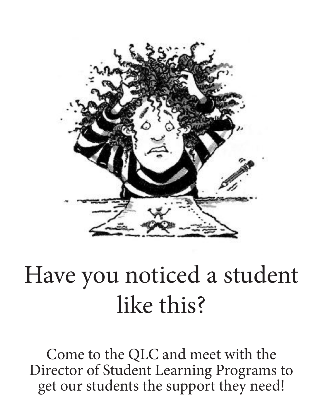

# Have you noticed a student like this?

Come to the QLC and meet with the Director of Student Learning Programs to get our students the support they need!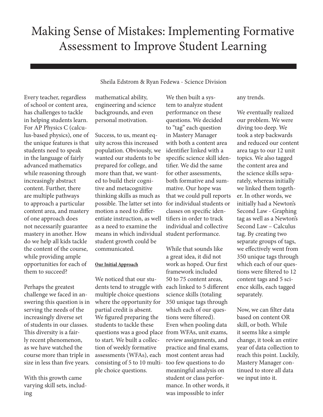#### Making Sense of Mistakes: Implementing Formative Assessment to Improve Student Learning

Sheila Edstrom & Ryan Fedewa - Science Division

Every teacher, regardless of school or content area, has challenges to tackle in helping students learn. For AP Physics C (calculus-based physics), one of the unique features is that students need to speak in the language of fairly advanced mathematics while reasoning through increasingly abstract content. Further, there are multiple pathways to approach a particular content area, and mastery of one approach does not necessarily guarantee mastery in another. How do we help all kids tackle the content of the course, while providing ample opportunities for each of them to succeed?

Perhaps the greatest challenge we faced in answering this question is in serving the needs of the increasingly diverse set of students in our classes. This diversity is a fairly recent phenomenon, as we have watched the course more than triple in size in less than five years.

With this growth came varying skill sets, including

mathematical ability, engineering and science backgrounds, and even personal motivation.

Success, to us, meant equity across this increased population. Obviously, we wanted our students to be prepared for college, and more than that, we wanted to build their cognitive and metacognitive thinking skills as much as possible. The latter set into motion a need to differentiate instruction, as well as a need to examine the means in which individual student performance. student growth could be communicated.

#### **Our Initial Approach**

We noticed that our students tend to struggle with each linked to 5 different multiple choice questions where the opportunity for partial credit is absent. We figured preparing the students to tackle these questions was a good place from WFAs, unit exams, to start. We built a collection of weekly formative assessments (WFAs), each consisting of 5 to 10 multiple choice questions.

We then built a system to analyze student performance on these questions. We decided to "tag" each question in Mastery Manager with both a content area identifier linked with a specific science skill identifier. We did the same for other assessments, both formative and summative. Our hope was that we could pull reports for individual students or classes on specific identifiers in order to track individual and collective

While that sounds like a great idea, it did not work as hoped. Our first framework included 50 to 75 content areas, science skills (totaling 350 unique tags through which each of our questions were filtered). Even when pooling data review assignments, and practice and final exams, most content areas had too few questions to do meaningful analysis on student or class performance. In other words, it was impossible to infer

any trends.

We eventually realized our problem. We were diving too deep. We took a step backwards and reduced our content area tags to our 12 unit topics. We also tagged the content area and the science skills separately, whereas initially we linked them together. In other words, we initially had a Newton's Second Law - Graphing tag as well as a Newton's Second Law – Calculus tag. By creating two separate groups of tags, we effectively went from 350 unique tags through which each of our questions were filtered to 12 content tags and 5 science skills, each tagged separately.

Now, we can filter data based on content OR skill, or both. While it seems like a simple change, it took an entire year of data collection to reach this point. Luckily, Mastery Manager continued to store all data we input into it.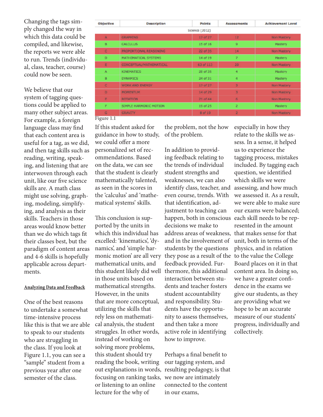Changing the tags simply changed the way in which this data could be compiled, and likewise, the reports we were able to run. Trends (individual, class, teacher, course) could now be seen.

We believe that our system of tagging questions could be applied to many other subject areas. For example, a foreign language class may find that each content area is useful for a tag, as we did, and then tag skills such as reading, writing, speaking, and listening that are interwoven through each unit, like our five science skills are. A math class might use solving, graphing, modeling, simplifying, and analysis as their skills. Teachers in those areas would know better than we do which tags fit their classes best, but the paradigm of content areas and 4-6 skills is hopefully applicable across departments.

#### **Analyzing Data and Feedback**

One of the best reasons to undertake a somewhat time-intensive process like this is that we are able to speak to our students who are struggling in the class. If you look at Figure 1.1, you can see a "sample" student from a previous year after one semester of the class.

| <b>Objective</b> | <b>Description</b>      | <b>Points</b>  | <b>Assessments</b>      | <b>Achievement Level</b> |
|------------------|-------------------------|----------------|-------------------------|--------------------------|
|                  |                         | Science (2012) |                         |                          |
| $\mathbf{A}$     | <b>GRAPHING</b>         | 17 of 27       | 12                      | Non Mastery              |
| B                | <b>CALCULUS</b>         | 15 of 16       | 9                       | Mastery                  |
| C                | PROPORTIONAL REASONING  | 22 of 35       | 14                      | Non Mastery              |
| D                | MATHEMATICAL SYSTEMS    | 14 of 19       | 7                       | Mastery                  |
| E                | CONCEPTUAL/MATHEMATICAL | 63 of 113      | 20                      | Non Mastery              |
| A                | <b>KINEMATICS</b>       | 28 of 35       | 4                       | Mastery                  |
| B                | <b>DYNAMICS</b>         | 24 of 31       | 4                       | <b>Mastery</b>           |
| c                | <b>WORK AND ENERGY</b>  | 17 of 27       | $\overline{\mathbf{3}}$ | Non Mastery              |
| D                | <b>MOMENTUM</b>         | 14 of 29       | 3                       | Non Mastery              |
| F                | <b>ROTATION</b>         | $21$ of $44$   | 6                       | Non Mastery              |
| F                | SIMPLE HARMONIC MOTION  | 19 of 25       | $\overline{2}$          | Mastery                  |
| G                | <b>GRAVITY</b>          | 8 of 19        | $\overline{2}$          | Non Mastery              |

Figure 1.1

If this student asked for guidance in how to study, we could offer a more personalized set of recommendations. Based on the data, we can see that the student is clearly mathematically talented, as seen in the scores in the 'calculus' and 'mathematical systems' skills.

This conclusion is supported by the units in which this individual has excelled: 'kinematics', 'dynamics', and 'simple harmonic motion' are all very they pose as a result of the to the value the College mathematical units, and this student likely did well thermore, this additional in those units based on mathematical strengths. However, in the units that are more conceptual, utilizing the skills that rely less on mathematical analysis, the student struggles. In other words, instead of working on solving more problems, this student should try reading the book, writing out explanations in words, resulting pedagogy, is that focusing on ranking tasks, or listening to an online lecture for the why of

the problem, not the how of the problem.

In addition to providing feedback relating to the trends of individual student strengths and weaknesses, we can also identify class, teacher, and assessing, and how much even course, trends. With that identification, adjustment to teaching can happen, both in conscious each skill needs to be repdecisions we make to address areas of weakness, that makes sense for that and in the involvement of students by the questions feedback provided. Furinteraction between students and teacher fosters student accountability and responsibility. Students have the opportunity to assess themselves, and then take a more active role in identifying how to improve.

Perhaps a final benefit to our tagging system, and we now are intimately connected to the content in our exams,

especially in how they relate to the skills we assess. In a sense, it helped us to experience the tagging process, mistakes included. By tagging each question, we identified which skills we were we assessed it. As a result, we were able to make sure our exams were balanced; resented in the amount unit, both in terms of the physics, and in relation Board places on it in that content area. In doing so, we have a greater confidence in the exams we give our students, as they are providing what we hope to be an accurate measure of our students' progress, individually and collectively.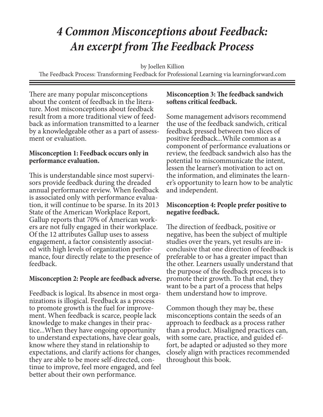#### *4 Common Misconceptions about Feedback: An excerpt from The Feedback Process*

by Joellen Killion

The Feedback Process: Transforming Feedback for Professional Learning via learningforward.com

There are many popular misconceptions<br>about the content of feedback in the literature. Most misconceptions about feedback result from a more traditional view of feedback as information transmitted to a learner by a knowledgeable other as a part of assessment or evaluation.

#### **Misconception 1: Feedback occurs only in performance evaluation.**

This is understandable since most supervisors provide feedback during the dreaded annual performance review. When feedback is associated only with performance evaluation, it will continue to be sparse. In its 2013 State of the American Workplace Report, Gallup reports that 70% of American workers are not fully engaged in their workplace. Of the 12 attributes Gallup uses to assess engagement, a factor consistently associated with high levels of organization performance, four directly relate to the presence of feedback.

#### **Misconception 2: People are feedback adverse.**

Feedback is logical. Its absence in most orga- nizations is illogical. Feedback as a process to promote growth is the fuel for improve- ment. When feedback is scarce, people lack knowledge to make changes in their prac- tice...When they have ongoing opportunity to understand expectations, have clear goals, know where they stand in relationship to expectations, and clarify actions for changes, they are able to be more self-directed, con- tinue to improve, feel more engaged, and feel better about their own performance.

#### **Misconception 3: The feedback sandwich softens critical feedback.**

Some management advisors recommend the use of the feedback sandwich, critical feedback pressed between two slices of positive feedback...While common as a component of performance evaluations or review, the feedback sandwich also has the potential to miscommunicate the intent, lessen the learner's motivation to act on the information, and eliminates the learner's opportunity to learn how to be analytic and independent.

#### **Misconception 4: People prefer positive to negative feedback.**

The direction of feedback, positive or negative, has been the subject of multiple studies over the years, yet results are inconclusive that one direction of feedback is preferable to or has a greater impact than the other. Learners usually understand that the purpose of the feedback process is to promote their growth. To that end, they want to be a part of a process that helps them understand how to improve.

Common though they may be, these misconceptions contain the seeds of an approach to feedback as a process rather than a product. Misaligned practices can, with some care, practice, and guided ef-<br>fort, be adapted or adjusted so they more closely align with practices recommended throughout this book.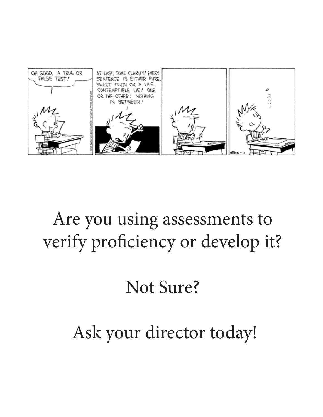

### Are you using assessments to verify proficiency or develop it?

# Not Sure?

# Ask your director today!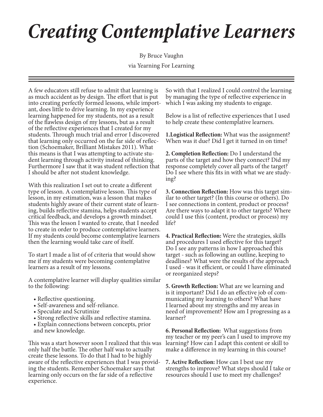# *Creating Contemplative Learners*

By Bruce Vaughn

via Yearning For Learning

A few educators still refuse to admit that learning is as much accident as by design. The effort that is put into creating perfectly formed lessons, while important, does little to drive learning. In my experience learning happened for my students, not as a result of the flawless design of my lessons, but as a result of the reflective experiences that I created for my students. Through much trial and error I discovered that learning only occurred on the far side of reflection (Schoemaker, Brilliant Mistakes 2011). What this means is that I was attempting to activate student learning through activity instead of thinking. Furthermore I saw that it was student reflection that I should be after not student knowledge.

With this realization I set out to create a different type of lesson. A contemplative lesson. This type of lesson, in my estimation, was a lesson that makes students highly aware of their current state of learning, builds reflective stamina, helps students accept critical feedback, and develops a growth mindset. This was the lesson I wanted to create, that I needed to create in order to produce contemplative learners. If my students could become contemplative learners then the learning would take care of itself.

To start I made a list of of criteria that would show me if my students were becoming contemplative learners as a result of my lessons.

A contemplative learner will display qualities similar to the following:

- Reflective questioning.
- Self-awareness and self-reliance.
- Speculate and Scrutinize
- Strong reflective skills and reflective stamina.
- Explain connections between concepts, prior and new knowledge.

This was a start however soon I realized that this was only half the battle. The other half was to actually create these lessons. To do that I had to be highly aware of the reflective experiences that I was provid- ing the students. Remember Schoemaker says that learning only occurs on the far side of a reflective experience.

So with that I realized I could control the learning by managing the type of reflective experience in which I was asking my students to engage.

Below is a list of reflective experiences that I used to help create these contemplative learners.

**1.Logistical Reflection:** What was the assignment? When was it due? Did I get it turned in on time?

**2. Completion Reflection:** Do I understand the parts of the target and how they connect? Did my response completely cover all parts of the target? Do I see where this fits in with what we are studying?

**3. Connection Reflection:** How was this target similar to other target? (In this course or others). Do I see connections in content, product or process? Are there ways to adapt it to other targets? Where could I use this (content, product or process) my life?

**4. Practical Reflection:** Were the strategies, skills and procedures I used effective for this target? Do I see any patterns in how I approached this target - such as following an outline, keeping to deadlines? What were the results of the approach I used - was it efficient, or could I have eliminated or reorganized steps?

**5. Growth Reflection:** What are we learning and is it important? Did I do an effective job of communicating my learning to others? What have I learned about my strengths and my areas in need of improvement? How am I progressing as a learner?

**6. Personal Reflection:** What suggestions from my teacher or my peer's can I used to improve my learning? How can I adapt this content or skill to make a difference in my learning in this course?

**7. Active Reflection:** How can I best use my strengths to improve? What steps should I take or resources should I use to meet my challenges?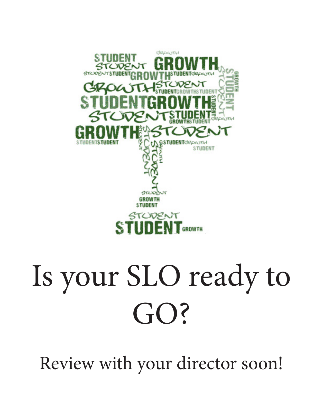

# Is your SLO ready to GO?

Review with your director soon!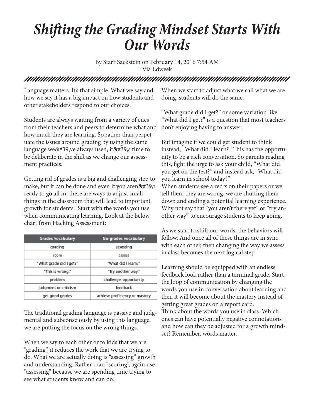#### *Shifting the Grading Mindset Starts With Our Words*

By Starr Sackstein on February 14, 2016 7:54 AM Via Edweek

#### 

Language matters. It's that simple. What we say and how we say it has a big impact on how students and other stakeholders respond to our choices.

Students are always waiting from a variety of cues from their teachers and peers to determine what and how much they are learning. So rather than perpetuate the issues around grading by using the same language we' ve always used, it ' s time to be deliberate in the shift as we change our assessment practices.

Getting rid of grades is a big and challenging step to make, but it can be done and even if you aren $\&\#39;$ t ready to go all in, there are ways to adjust small things in the classroom that will lead to important growth for students. Start with the words you use when communicating learning. Look at the below chart from Hacking Assessment:

| <b>Grades vocabulary</b> | No-grades vocabulary           |  |
|--------------------------|--------------------------------|--|
| grading                  | assessing                      |  |
| score                    | assess                         |  |
| "What grade did I get?"  | "What did I learn?"            |  |
| "This is wrong."         | "Try another way."             |  |
| problem                  | challenge, opportunity         |  |
| judgment or criticism    | feedback                       |  |
| get good grades          | achieve proficiency or mastery |  |

The traditional grading language is passive and judgmental and subconsciously by using this language, we are putting the focus on the wrong things.

When we say to each other or to kids that we are "grading", it reduces the work that we are trying to do. What we are actually doing is "assessing" growth and understanding. Rather than "scoring", again use "assessing" because we are spending time trying to see what students know and can do.

When we start to adjust what we call what we are doing, students will do the same.

"What grade did I get?" or some variation like "What did I get?" is a question that most teachers don't enjoying having to answer.

But imagine if we could get student to think instead, "What did I learn?" This has the opportunity to be a rich conversation. So parents reading this, fight the urge to ask your child, "What did you get on the test?" and instead ask, "What did you learn in school today?" When students see a red x on their papers or we tell them they are wrong, we are shutting them down and ending a potential learning experience. Why not say that "you aren't there yet" or "try another way" to encourage students to keep going.

As we start to shift our words, the behaviors will follow. And once all of these things are in sync with each other, then changing the way we assess in class becomes the next logical step.

Learning should be equipped with an endless feedback look rather than a terminal grade. Start the loop of communication by changing the words you use in conversation about learning and then it will become about the mastery instead of getting great grades on a report card. Think about the words you use in class. Which ones can have potentially negative connotations and how can they be adjusted for a growth mindset? Remember, words matter.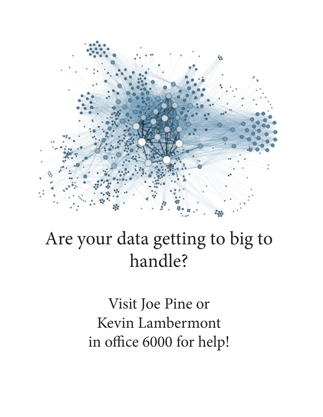

## Are your data getting to big to handle?

Visit Joe Pine or Kevin Lambermont in office 6000 for help!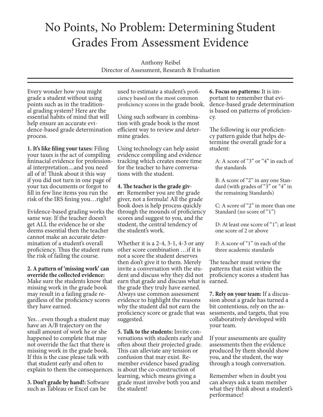#### No Points, No Problem: Determining Student Grades From Assessment Evidence

Anthony Reibel

Director of Assessment, Research & Evaluation

Every wonder how you might grade a student without using points such as in the tradition-<br>al grading system? Here are the essential habits of mind that will help ensure an accurate evi- dence-based grade determination process.

**1. It's like filing your taxes:** Filing your taxes is the act of compiling fininacial evidence for profession- al interpretation....and you need all of it! Think about it this way if you did not turn in one page of your tax documents or forgot to fill in few line items you run the risk of the IRS fining you…right?

Evidence-based grading works the through the mounds of proficiency same way. If the teacher doesn't get ALL the evidence he or she deems essential then the teacher cannot make an accurate determination of a student's overall proficiency. Thus the student runs the risk of failing the course.

**2. A pattern of 'missing work' can override the collected evidence:**  Make sure the students know that missing work in the grade book may result in a failing grade regardless of the proficiency scores they have earned.

explain to them the consequences. is about the co-construction of Yes…even though a student may have an A/B trajectory on the small amount of work he or she happened to complete that may not override the fact that there is missing work in the grade book. If this is the case please talk with that student early and often to

**3. Don't grade by hand!:** Software such as Tableau or Excel can be

used to estimate a student's proficiency based on the most common proficiency scores in the grade book.

Using such software in combina- tion with grade book is the most efficient way to review and deter- mine grades.

Using technology can help assist evidence compiling and evidence tracking which creates more time for the teacher to have conversa- tions with the student.

**4. The teacher is the grade giv- er:** Remember you are the grade giver, not a formula! All the grade book does is help process quickly

scores and suggest to you, and the student, the central tendency of the student's work.

Whether it is a 2-4, 3-1, 4-3 or any other score combination …if it is not a score the student deserves then don't give it to them. Merely invite a conversation with the student and discuss why they did not earn that grade and discuss what is earned. the grade they truly have earned. Always use common assessment evidence to highlight the reasons why the student did not earn the proficiency score or grade that was suggested.

**5. Talk to the students:** Invite con- versations with students early and often about their projected grade. This can alleviate any tension or confusion that may exist. Remember evidence based grading learning, which means giving a grade must involve both you and the student!

**6. Focus on patterns:** It is important to remember that evidence-based grade determination is based on patterns of proficiency.

The following is our proficiency pattern guide that helps determine the overall grade for a student:

A: A score of "3" or "4" in each of the standards

B: A score of "2" in any one Standard (with grades of "3" or "4" in the remaining Standards)

C: A score of "2" in more than one Standard (no score of "1")

D: At least one score of "1"; at least one score of 2 or above

F: A score of "1" in each of the three academic standards

The teacher must review the patterns that exist within the proficiency scores a student has

**7. Rely on your team:** If a discussion about a grade has turned a bit contentious, rely on the assessments, and targets, that you collaboratively developed with your team.

If your assessments are quality assessments then the evidence produced by them should show you, and the student, the way through a tough conversation.

Remember when in doubt you can always ask a team member what they think about a student's performance!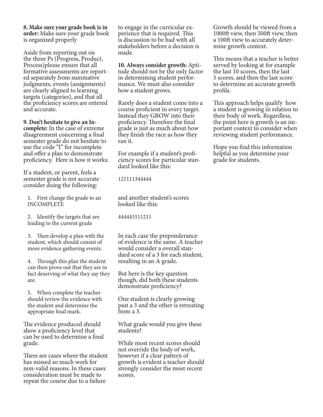**8. Make sure your grade book is in order:** Make sure your grade book is organized properly

Aside from reporting out on the three Ps (Progress, Product, Process)please ensure that all formative assessments are reported separately from summative judgments, events (assignments) are clearly aligned to learning targets (categories), and that all the proficiency scores are entered and accurate.

**9. Don't hesitate to give an In-**

**complete:** In the case of extreme disagreement concerning a final semester grade do not hesitate to use the code "I" for incomplete and offer a plan to demonstrate proficiency. Here is how it works:

If a student, or parent, feels a semester grade is not accurate consider doing the following:

1. First change the grade to an INCOMPLETE

2. Identify the targets that are leading to the current grade

3. Then develop a plan with the student, which should consist of more evidence gathering events.

4. Through this plan the student can then prove out that they are in fact deserving of what they say they are.

5. When complete the teacher should review the evidence with the student and determine the appropriate final mark.

The evidence produced should show a proficiency level that can be used to determine a final grade.

There are cases where the student has missed so much work for non-valid reasons. In these cases consideration must be made to repeat the course due to a failure

to engage in the curricular experience that is required. This is discussion to be had with all stakeholders before a decision is made.

**10. Always consider growth:** Aptitude should not be the only factor in determining student performance. We must also consider how a student grows.

Rarely does a student come into a course proficient in every target. Instead they GROW into their proficiency. Therefore the final grade is just as much about how they finish the race as how they ran it.

For example if a student's proficiency scores for particular standard looked like this:

121111344444

and another student's scores looked like this:

444443111211

In each case the preponderance of evidence is the same. A teacher would consider a overall standard score of a 3 for each student, resulting in an A grade.

But here is the key question though, did both these students demonstrate proficiency?

One student is clearly growing past a 3 and the other is retreating from a 3.

What grade would you give these students?

While most recent scores should not override the body of work, however if a clear pattern of growth is evident a teacher should strongly consider the most recent scores.

Growth should be viewed from a 1000ft view, then 500ft view, then a 100ft view to accurately determine growth context.

This means that a teacher is better served by looking at for example the last 10 scores, then the last 5 scores, and then the last score to determine an accurate growth profile.

This approach helps qualify how a student is growing in relation to their body of work. Regardless, the point here is growth is an important context to consider when reviewing student performance.

Hope you find this information helpful as you determine your grade for students.